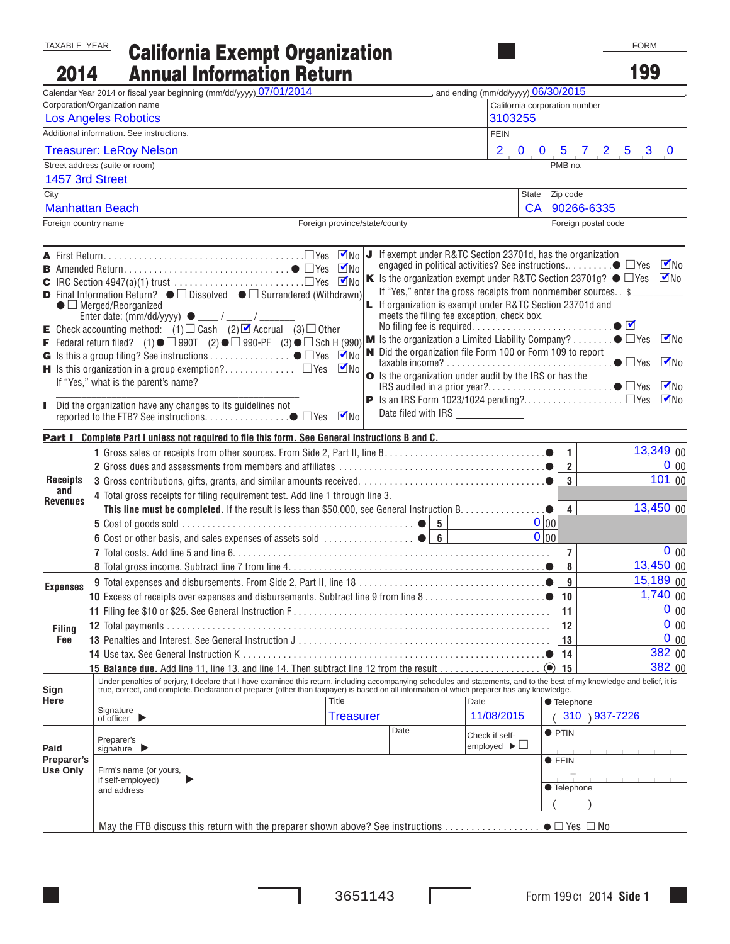## California Exempt Organization Annual Information Return TAXABLE YEAR 2014

| 2014                           |                                                                                                                                                                                                                                                                                             | <b>Annual Information Return</b>                                                                                                                                                                                                                                                                                                                       |                                                                                                                                                                                                                                                                                                                                                                                                                                   |                                     |                                | 199                                                                    |
|--------------------------------|---------------------------------------------------------------------------------------------------------------------------------------------------------------------------------------------------------------------------------------------------------------------------------------------|--------------------------------------------------------------------------------------------------------------------------------------------------------------------------------------------------------------------------------------------------------------------------------------------------------------------------------------------------------|-----------------------------------------------------------------------------------------------------------------------------------------------------------------------------------------------------------------------------------------------------------------------------------------------------------------------------------------------------------------------------------------------------------------------------------|-------------------------------------|--------------------------------|------------------------------------------------------------------------|
|                                | Calendar Year 2014 or fiscal year beginning (mm/dd/yyyy) 07/01/2014                                                                                                                                                                                                                         |                                                                                                                                                                                                                                                                                                                                                        |                                                                                                                                                                                                                                                                                                                                                                                                                                   | and ending (mm/dd/yyyy) 06/30/2015  |                                |                                                                        |
|                                | Corporation/Organization name                                                                                                                                                                                                                                                               |                                                                                                                                                                                                                                                                                                                                                        |                                                                                                                                                                                                                                                                                                                                                                                                                                   | California corporation number       |                                |                                                                        |
|                                | <b>Los Angeles Robotics</b>                                                                                                                                                                                                                                                                 |                                                                                                                                                                                                                                                                                                                                                        |                                                                                                                                                                                                                                                                                                                                                                                                                                   | 3103255                             |                                |                                                                        |
|                                | Additional information. See instructions.                                                                                                                                                                                                                                                   |                                                                                                                                                                                                                                                                                                                                                        |                                                                                                                                                                                                                                                                                                                                                                                                                                   | <b>FEIN</b>                         |                                |                                                                        |
| <b>Treasurer: LeRoy Nelson</b> |                                                                                                                                                                                                                                                                                             |                                                                                                                                                                                                                                                                                                                                                        |                                                                                                                                                                                                                                                                                                                                                                                                                                   |                                     |                                | $2$ , 0, 0, 5, 7, 2, 5, 3, 0                                           |
|                                | Street address (suite or room)                                                                                                                                                                                                                                                              |                                                                                                                                                                                                                                                                                                                                                        |                                                                                                                                                                                                                                                                                                                                                                                                                                   |                                     | PMB no.                        |                                                                        |
|                                | 1457 3rd Street                                                                                                                                                                                                                                                                             |                                                                                                                                                                                                                                                                                                                                                        |                                                                                                                                                                                                                                                                                                                                                                                                                                   |                                     |                                |                                                                        |
| City                           |                                                                                                                                                                                                                                                                                             |                                                                                                                                                                                                                                                                                                                                                        |                                                                                                                                                                                                                                                                                                                                                                                                                                   | <b>State</b>                        | Zip code                       |                                                                        |
|                                | <b>Manhattan Beach</b>                                                                                                                                                                                                                                                                      |                                                                                                                                                                                                                                                                                                                                                        |                                                                                                                                                                                                                                                                                                                                                                                                                                   | <b>CA</b>                           |                                | 90266-6335                                                             |
| Foreign country name           |                                                                                                                                                                                                                                                                                             | Foreign province/state/county                                                                                                                                                                                                                                                                                                                          |                                                                                                                                                                                                                                                                                                                                                                                                                                   |                                     |                                | Foreign postal code                                                    |
|                                | $\bullet$ $\Box$ Merged/Reorganized<br>Enter date: $(mm/dd/yyyy)$ $\bullet$ ____/ ____/ ___<br><b>E</b> Check accounting method: (1) $\Box$ Cash (2) $\Box$ Accrual (3) $\Box$ Other<br>If "Yes," what is the parent's name?<br>Did the organization have any changes to its guidelines not | <b>D</b> Final Information Return? $\bullet$ $\square$ Dissolved $\bullet$ $\square$ Surrendered (Withdrawn)<br>F Federal return filed? (1) $\bullet$ $\Box$ 990T (2) $\bullet$ $\Box$ 990-PF (3) $\bullet$ $\Box$ Sch H (990) M Is the organization a Limited Liability Company? $\bullet$ $\Box$ Yes<br>$\n  V$ No                                   | K Is the organization exempt under R&TC Section 23701g? $\bullet$ $\Box$ Yes<br>If "Yes," enter the gross receipts from nonmember sources. . \$<br><b>L</b> If organization is exempt under R&TC Section 23701d and<br>meets the filing fee exception, check box.<br>N Did the organization file Form 100 or Form 109 to report<br>O Is the organization under audit by the IRS or has the<br>Date filed with IRS _______________ |                                     |                                | $\nabla$ No<br>$\nabla$ No<br>$\n  W0$<br>$\n  W$<br>$\n  M$<br>$M\nu$ |
|                                |                                                                                                                                                                                                                                                                                             | Part I Complete Part I unless not required to file this form. See General Instructions B and C.                                                                                                                                                                                                                                                        |                                                                                                                                                                                                                                                                                                                                                                                                                                   |                                     |                                |                                                                        |
|                                |                                                                                                                                                                                                                                                                                             |                                                                                                                                                                                                                                                                                                                                                        |                                                                                                                                                                                                                                                                                                                                                                                                                                   |                                     | $\mathbf{1}$                   | $13,349$ 00                                                            |
|                                |                                                                                                                                                                                                                                                                                             |                                                                                                                                                                                                                                                                                                                                                        |                                                                                                                                                                                                                                                                                                                                                                                                                                   |                                     | $\overline{2}$                 | 0 00                                                                   |
| <b>Receipts</b>                |                                                                                                                                                                                                                                                                                             |                                                                                                                                                                                                                                                                                                                                                        |                                                                                                                                                                                                                                                                                                                                                                                                                                   |                                     |                                | 101 00<br>3 <sup>1</sup>                                               |
| and<br><b>Revenues</b>         |                                                                                                                                                                                                                                                                                             | 4 Total gross receipts for filing requirement test. Add line 1 through line 3.                                                                                                                                                                                                                                                                         |                                                                                                                                                                                                                                                                                                                                                                                                                                   |                                     |                                |                                                                        |
|                                |                                                                                                                                                                                                                                                                                             |                                                                                                                                                                                                                                                                                                                                                        |                                                                                                                                                                                                                                                                                                                                                                                                                                   |                                     | $\overline{\mathbf{4}}$        | 13,450 00                                                              |
|                                |                                                                                                                                                                                                                                                                                             |                                                                                                                                                                                                                                                                                                                                                        |                                                                                                                                                                                                                                                                                                                                                                                                                                   |                                     | 0 00                           |                                                                        |
|                                |                                                                                                                                                                                                                                                                                             |                                                                                                                                                                                                                                                                                                                                                        |                                                                                                                                                                                                                                                                                                                                                                                                                                   |                                     | 0 00                           |                                                                        |
|                                |                                                                                                                                                                                                                                                                                             |                                                                                                                                                                                                                                                                                                                                                        |                                                                                                                                                                                                                                                                                                                                                                                                                                   |                                     | $\overline{7}$                 | 0 00                                                                   |
|                                |                                                                                                                                                                                                                                                                                             |                                                                                                                                                                                                                                                                                                                                                        |                                                                                                                                                                                                                                                                                                                                                                                                                                   |                                     | 8                              | 13,450 00                                                              |
| <b>Expenses</b>                |                                                                                                                                                                                                                                                                                             |                                                                                                                                                                                                                                                                                                                                                        |                                                                                                                                                                                                                                                                                                                                                                                                                                   |                                     | 9                              | $15,189$ 00                                                            |
|                                |                                                                                                                                                                                                                                                                                             |                                                                                                                                                                                                                                                                                                                                                        |                                                                                                                                                                                                                                                                                                                                                                                                                                   |                                     | $10\,$                         | $1,740$ 00                                                             |
|                                |                                                                                                                                                                                                                                                                                             |                                                                                                                                                                                                                                                                                                                                                        |                                                                                                                                                                                                                                                                                                                                                                                                                                   |                                     | 11                             | $0 _{00}$                                                              |
| <b>Filing</b>                  | <b>12</b> Total payments.                                                                                                                                                                                                                                                                   |                                                                                                                                                                                                                                                                                                                                                        |                                                                                                                                                                                                                                                                                                                                                                                                                                   |                                     | 12                             | $0 _{00}$                                                              |
| Fee                            |                                                                                                                                                                                                                                                                                             |                                                                                                                                                                                                                                                                                                                                                        |                                                                                                                                                                                                                                                                                                                                                                                                                                   |                                     | 13                             | 0 00                                                                   |
|                                | <b>14</b> Use tax. See General Instruction K                                                                                                                                                                                                                                                |                                                                                                                                                                                                                                                                                                                                                        |                                                                                                                                                                                                                                                                                                                                                                                                                                   |                                     | 14                             | 382 00                                                                 |
|                                |                                                                                                                                                                                                                                                                                             | 15 Balance due. Add line 11, line 13, and line 14. Then subtract line 12 from the result                                                                                                                                                                                                                                                               |                                                                                                                                                                                                                                                                                                                                                                                                                                   |                                     | $\left( \bullet \right)$<br>15 | 382 00                                                                 |
| Sign<br>Here                   | Signature<br>of officer $\blacktriangleright$                                                                                                                                                                                                                                               | Under penalties of perjury, I declare that I have examined this return, including accompanying schedules and statements, and to the best of my knowledge and belief, it is<br>true, correct, and complete. Declaration of preparer (other than taxpayer) is based on all information of which preparer has any knowledge.<br>Title<br><b>Treasurer</b> |                                                                                                                                                                                                                                                                                                                                                                                                                                   | Date<br>11/08/2015                  | ● Telephone                    | 310 ) 937-7226                                                         |
|                                |                                                                                                                                                                                                                                                                                             |                                                                                                                                                                                                                                                                                                                                                        | Date                                                                                                                                                                                                                                                                                                                                                                                                                              | Check if self-                      | $\bullet$ PTIN                 |                                                                        |
| Paid                           | Preparer's<br>signature $\blacktriangleright$                                                                                                                                                                                                                                               |                                                                                                                                                                                                                                                                                                                                                        |                                                                                                                                                                                                                                                                                                                                                                                                                                   | employed $\blacktriangleright \Box$ |                                |                                                                        |
| Preparer's<br>Use Only         | Firm's name (or yours,<br>if self-employed)<br>and address                                                                                                                                                                                                                                  |                                                                                                                                                                                                                                                                                                                                                        |                                                                                                                                                                                                                                                                                                                                                                                                                                   |                                     | $\bullet$ FEIN<br>● Telephone  |                                                                        |
|                                |                                                                                                                                                                                                                                                                                             |                                                                                                                                                                                                                                                                                                                                                        |                                                                                                                                                                                                                                                                                                                                                                                                                                   |                                     |                                |                                                                        |
|                                |                                                                                                                                                                                                                                                                                             |                                                                                                                                                                                                                                                                                                                                                        |                                                                                                                                                                                                                                                                                                                                                                                                                                   |                                     |                                |                                                                        |

ı

Г